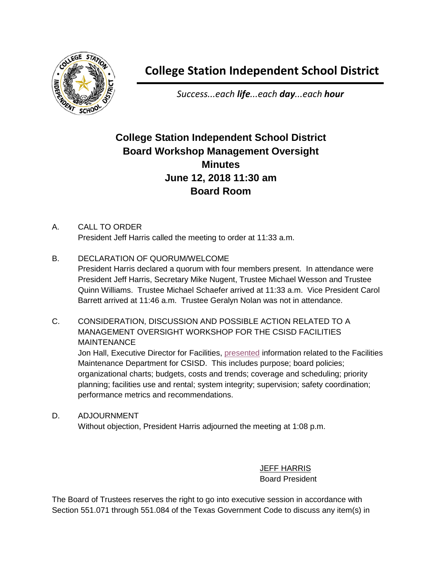

## **College Station Independent School District**

*Success...each life...each day...each hour*

## **College Station Independent School District Board Workshop Management Oversight Minutes June 12, 2018 11:30 am Board Room**

## A. CALL TO ORDER President Jeff Harris called the meeting to order at 11:33 a.m.

B. DECLARATION OF QUORUM/WELCOME

President Harris declared a quorum with four members present. In attendance were President Jeff Harris, Secretary Mike Nugent, Trustee Michael Wesson and Trustee Quinn Williams. Trustee Michael Schaefer arrived at 11:33 a.m. Vice President Carol Barrett arrived at 11:46 a.m. Trustee Geralyn Nolan was not in attendance.

C. CONSIDERATION, DISCUSSION AND POSSIBLE ACTION RELATED TO A MANAGEMENT OVERSIGHT WORKSHOP FOR THE CSISD FACILITIES **MAINTENANCE** 

Jon Hall, Executive Director for Facilities, **presented information related to the Facilities** Maintenance Department for CSISD. This includes purpose; board policies; organizational charts; budgets, costs and trends; coverage and scheduling; priority planning; facilities use and rental; system integrity; supervision; safety coordination; performance metrics and recommendations.

D. ADJOURNMENT Without objection, President Harris adjourned the meeting at 1:08 p.m.

> JEFF HARRIS Board President

The Board of Trustees reserves the right to go into executive session in accordance with Section 551.071 through 551.084 of the Texas Government Code to discuss any item(s) in